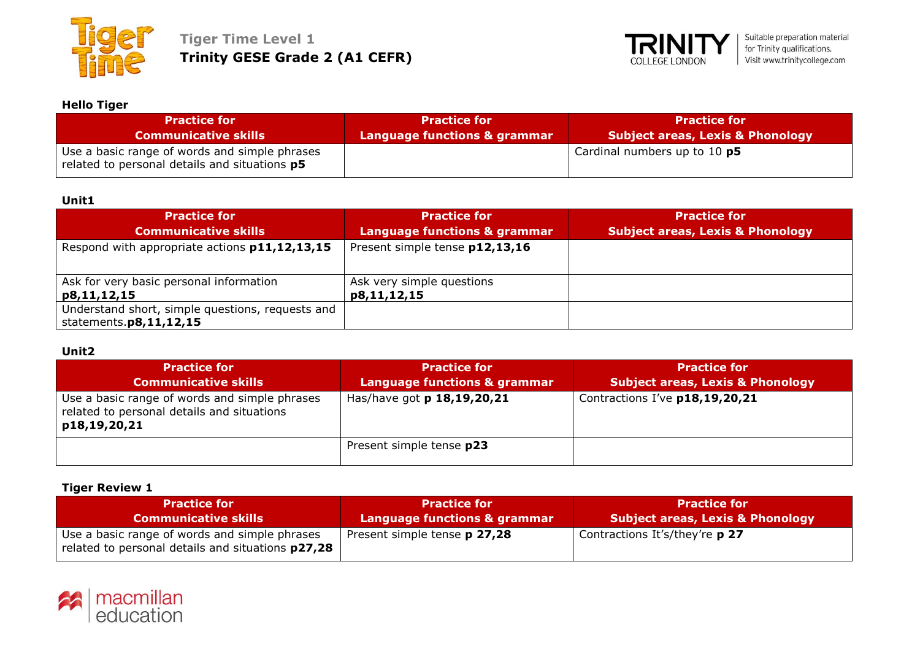



# **Hello Tiger**

| <b>Practice for</b>                                                                                   | <b>Practice for</b>          | <b>Practice for</b>              |
|-------------------------------------------------------------------------------------------------------|------------------------------|----------------------------------|
| <b>Communicative skills</b>                                                                           | Language functions & grammar | Subject areas, Lexis & Phonology |
| Use a basic range of words and simple phrases<br>related to personal details and situations <b>p5</b> |                              | Cardinal numbers up to 10 p5     |

### **Unit1**

| <b>Practice for</b><br><b>Communicative skills</b>                               | <b>Practice for</b><br><b>Language functions &amp; grammar</b> | <b>Practice for</b><br><b>Subject areas, Lexis &amp; Phonology</b> |
|----------------------------------------------------------------------------------|----------------------------------------------------------------|--------------------------------------------------------------------|
| Respond with appropriate actions p11,12,13,15                                    | Present simple tense p12,13,16                                 |                                                                    |
| Ask for very basic personal information<br>p8,11,12,15                           | Ask very simple questions<br>p8,11,12,15                       |                                                                    |
| Understand short, simple questions, requests and<br>statements. $p8, 11, 12, 15$ |                                                                |                                                                    |

# **Unit2**

| <b>Practice for</b><br><b>Communicative skills</b>                                                          | <b>Practice for</b><br>Language functions & grammar | <b>Practice for</b><br><b>Subject areas, Lexis &amp; Phonology</b> |
|-------------------------------------------------------------------------------------------------------------|-----------------------------------------------------|--------------------------------------------------------------------|
| Use a basic range of words and simple phrases<br>related to personal details and situations<br>p18,19,20,21 | Has/have got p 18,19,20,21                          | Contractions I've p18,19,20,21                                     |
|                                                                                                             | Present simple tense <b>p23</b>                     |                                                                    |

### **Tiger Review 1**

| <b>Practice for</b>                                                                                       | <b>Practice for</b>                     | <b>Practice for</b>                         |
|-----------------------------------------------------------------------------------------------------------|-----------------------------------------|---------------------------------------------|
| <b>Communicative skills</b>                                                                               | <b>Language functions &amp; grammar</b> | <b>Subject areas, Lexis &amp; Phonology</b> |
| Use a basic range of words and simple phrases<br>related to personal details and situations <b>p27,28</b> | Present simple tense <b>p 27,28</b>     | Contractions It's/they're p 27              |

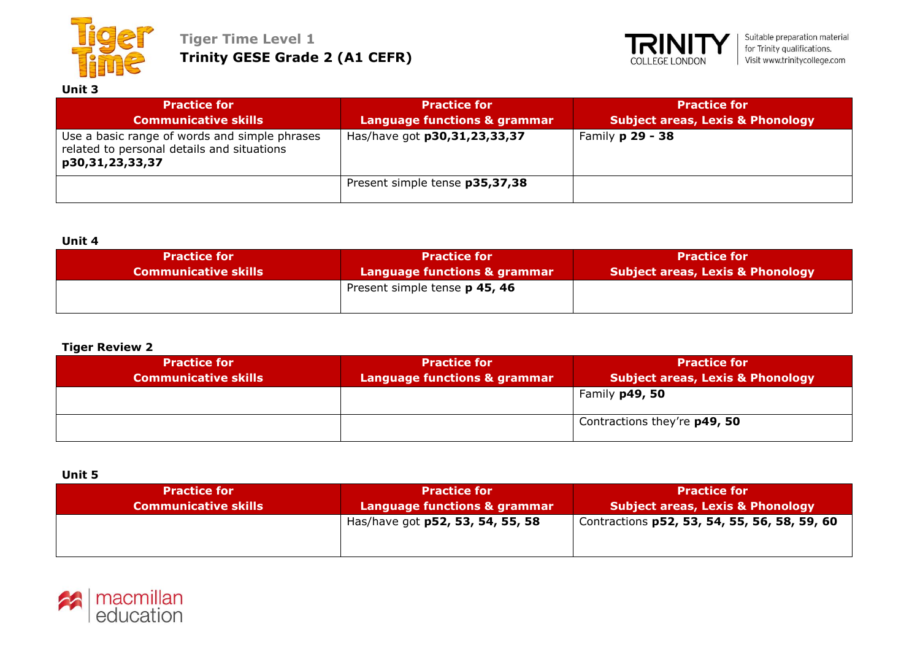

**Tiger Time Level 1 Trinity GESE Grade 2 (A1 CEFR)**



| Unit 3                                                                                                         |                                                     |                                                                    |
|----------------------------------------------------------------------------------------------------------------|-----------------------------------------------------|--------------------------------------------------------------------|
| <b>Practice for</b><br><b>Communicative skills</b>                                                             | <b>Practice for</b><br>Language functions & grammar | <b>Practice for</b><br><b>Subject areas, Lexis &amp; Phonology</b> |
| Use a basic range of words and simple phrases<br>related to personal details and situations<br>p30,31,23,33,37 | Has/have got p30,31,23,33,37                        | Family <b>p 29 - 38</b>                                            |
|                                                                                                                | Present simple tense p35,37,38                      |                                                                    |

### **Unit 4**

| <b>Practice for</b>         | <b>Practice for</b>                  | <b>Practice for</b>                         |
|-----------------------------|--------------------------------------|---------------------------------------------|
| <b>Communicative skills</b> | Language functions & grammar         | <b>Subject areas, Lexis &amp; Phonology</b> |
|                             | Present simple tense <b>p 45, 46</b> |                                             |

### **Tiger Review 2**

| <b>Practice for</b><br><b>Communicative skills</b> | <b>Practice for</b><br>Language functions & grammar | <b>Practice for</b><br><b>Subject areas, Lexis &amp; Phonology</b> |
|----------------------------------------------------|-----------------------------------------------------|--------------------------------------------------------------------|
|                                                    |                                                     | Family p49, 50                                                     |
|                                                    |                                                     | Contractions they're p49, 50                                       |

### **Unit 5**

| <b>Practice for</b>         | <b>Practice for</b>              | <b>Practice for</b>                          |
|-----------------------------|----------------------------------|----------------------------------------------|
| <b>Communicative skills</b> | Language functions & grammar     | Subject areas, Lexis & Phonology             |
|                             | Has/have got p52, 53, 54, 55, 58 | Contractions p52, 53, 54, 55, 56, 58, 59, 60 |

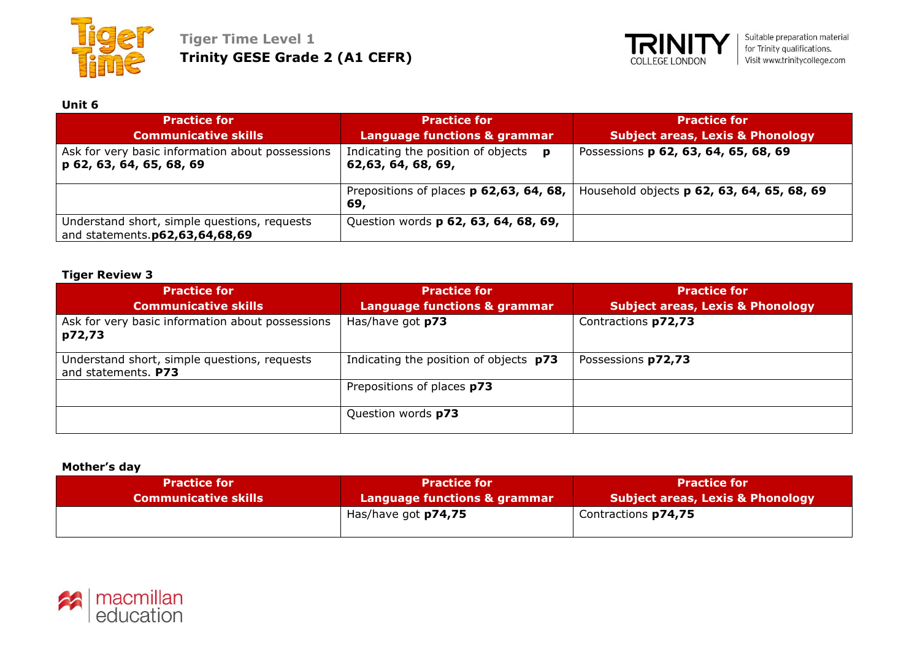



# **Unit 6**

| <b>Practice for</b><br><b>Communicative skills</b>                             | <b>Practice for</b><br><b>Language functions &amp; grammar</b> | <b>Practice for</b><br><b>Subject areas, Lexis &amp; Phonology</b> |
|--------------------------------------------------------------------------------|----------------------------------------------------------------|--------------------------------------------------------------------|
| Ask for very basic information about possessions<br>p 62, 63, 64, 65, 68, 69   | Indicating the position of objects<br>D<br>62,63, 64, 68, 69,  | Possessions p 62, 63, 64, 65, 68, 69                               |
|                                                                                | Prepositions of places p 62,63, 64, 68,<br>69,                 | Household objects p 62, 63, 64, 65, 68, 69                         |
| Understand short, simple questions, requests<br>and statements.p62,63,64,68,69 | Question words p 62, 63, 64, 68, 69,                           |                                                                    |

# **Tiger Review 3**

| <b>Practice for</b>                                                 | <b>Practice for</b>                     | <b>Practice for</b>                         |
|---------------------------------------------------------------------|-----------------------------------------|---------------------------------------------|
| <b>Communicative skills</b>                                         | <b>Language functions &amp; grammar</b> | <b>Subject areas, Lexis &amp; Phonology</b> |
| Ask for very basic information about possessions<br>p72,73          | Has/have got p73                        | Contractions p72,73                         |
| Understand short, simple questions, requests<br>and statements. P73 | Indicating the position of objects p73  | Possessions p72,73                          |
|                                                                     | Prepositions of places p73              |                                             |
|                                                                     | Question words p73                      |                                             |

#### **Mother's day**

| <b>Practice for</b>         | <b>Practice for</b>          | <b>Practice for</b>                         |
|-----------------------------|------------------------------|---------------------------------------------|
| <b>Communicative skills</b> | Language functions & grammar | <b>Subject areas, Lexis &amp; Phonology</b> |
|                             | Has/have got <b>p74,75</b>   | Contractions p74,75                         |